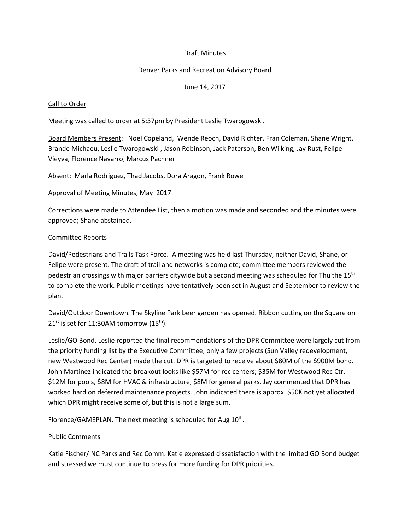# Draft Minutes

### Denver Parks and Recreation Advisory Board

June 14, 2017

#### Call to Order

Meeting was called to order at 5:37pm by President Leslie Twarogowski.

Board Members Present: Noel Copeland, Wende Reoch, David Richter, Fran Coleman, Shane Wright, Brande Michaeu, Leslie Twarogowski , Jason Robinson, Jack Paterson, Ben Wilking, Jay Rust, Felipe Vieyva, Florence Navarro, Marcus Pachner

Absent: Marla Rodriguez, Thad Jacobs, Dora Aragon, Frank Rowe

#### Approval of Meeting Minutes, May 2017

Corrections were made to Attendee List, then a motion was made and seconded and the minutes were approved; Shane abstained.

### Committee Reports

David/Pedestrians and Trails Task Force. A meeting was held last Thursday, neither David, Shane, or Felipe were present. The draft of trail and networks is complete; committee members reviewed the pedestrian crossings with major barriers citywide but a second meeting was scheduled for Thu the 15<sup>th</sup> to complete the work. Public meetings have tentatively been set in August and September to review the plan.

David/Outdoor Downtown. The Skyline Park beer garden has opened. Ribbon cutting on the Square on  $21<sup>st</sup>$  is set for 11:30AM tomorrow (15<sup>th</sup>).

Leslie/GO Bond. Leslie reported the final recommendations of the DPR Committee were largely cut from the priority funding list by the Executive Committee; only a few projects (Sun Valley redevelopment, new Westwood Rec Center) made the cut. DPR is targeted to receive about \$80M of the \$900M bond. John Martinez indicated the breakout looks like \$57M for rec centers; \$35M for Westwood Rec Ctr, \$12M for pools, \$8M for HVAC & infrastructure, \$8M for general parks. Jay commented that DPR has worked hard on deferred maintenance projects. John indicated there is approx. \$50K not yet allocated which DPR might receive some of, but this is not a large sum.

Florence/GAMEPLAN. The next meeting is scheduled for Aug 10<sup>th</sup>.

# Public Comments

Katie Fischer/INC Parks and Rec Comm. Katie expressed dissatisfaction with the limited GO Bond budget and stressed we must continue to press for more funding for DPR priorities.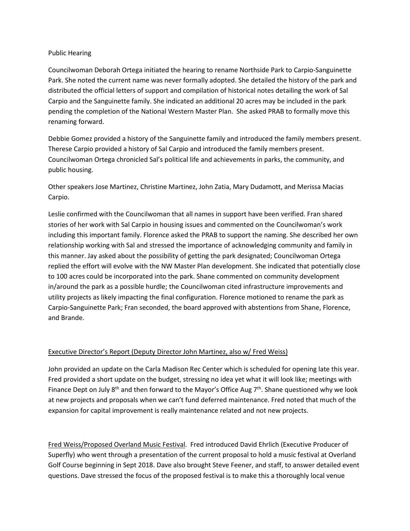### Public Hearing

Councilwoman Deborah Ortega initiated the hearing to rename Northside Park to Carpio-Sanguinette Park. She noted the current name was never formally adopted. She detailed the history of the park and distributed the official letters of support and compilation of historical notes detailing the work of Sal Carpio and the Sanguinette family. She indicated an additional 20 acres may be included in the park pending the completion of the National Western Master Plan. She asked PRAB to formally move this renaming forward.

Debbie Gomez provided a history of the Sanguinette family and introduced the family members present. Therese Carpio provided a history of Sal Carpio and introduced the family members present. Councilwoman Ortega chronicled Sal's political life and achievements in parks, the community, and public housing.

Other speakers Jose Martinez, Christine Martinez, John Zatia, Mary Dudamott, and Merissa Macias Carpio.

Leslie confirmed with the Councilwoman that all names in support have been verified. Fran shared stories of her work with Sal Carpio in housing issues and commented on the Councilwoman's work including this important family. Florence asked the PRAB to support the naming. She described her own relationship working with Sal and stressed the importance of acknowledging community and family in this manner. Jay asked about the possibility of getting the park designated; Councilwoman Ortega replied the effort will evolve with the NW Master Plan development. She indicated that potentially close to 100 acres could be incorporated into the park. Shane commented on community development in/around the park as a possible hurdle; the Councilwoman cited infrastructure improvements and utility projects as likely impacting the final configuration. Florence motioned to rename the park as Carpio-Sanguinette Park; Fran seconded, the board approved with abstentions from Shane, Florence, and Brande.

# Executive Director's Report (Deputy Director John Martinez, also w/ Fred Weiss)

John provided an update on the Carla Madison Rec Center which is scheduled for opening late this year. Fred provided a short update on the budget, stressing no idea yet what it will look like; meetings with Finance Dept on July  $8<sup>th</sup>$  and then forward to the Mayor's Office Aug  $7<sup>th</sup>$ . Shane questioned why we look at new projects and proposals when we can't fund deferred maintenance. Fred noted that much of the expansion for capital improvement is really maintenance related and not new projects.

Fred Weiss/Proposed Overland Music Festival. Fred introduced David Ehrlich (Executive Producer of Superfly) who went through a presentation of the current proposal to hold a music festival at Overland Golf Course beginning in Sept 2018. Dave also brought Steve Feener, and staff, to answer detailed event questions. Dave stressed the focus of the proposed festival is to make this a thoroughly local venue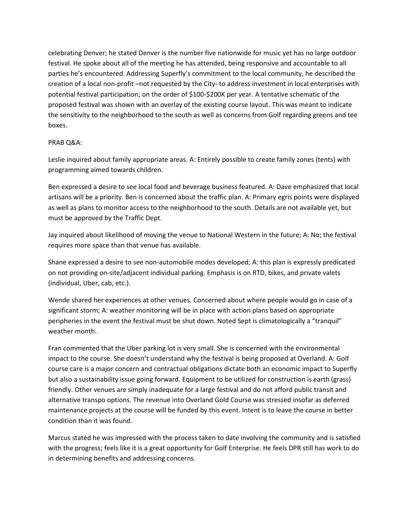celebrating Denver; he stated Denver is the number five nationwide for music yet has no large outdoor festival. He spoke about all of the meeting he has attended, being responsive and accountable to all parties he's encountered. Addressing Superfly's commitment to the local community, he described the creation of a local non-profit –not requested by the City- to address investment in local enterprises with potential festival participation; on the order of \$100-\$200K per year. A tentative schematic of the proposed festival was shown with an overlay of the existing course layout. This was meant to indicate the sensitivity to the neighborhood to the south as well as concerns from Golf regarding greens and tee boxes.

### PRAB Q&A:

Leslie inquired about family appropriate areas. A: Entirely possible to create family zones (tents) with programming aimed towards children.

Ben expressed a desire to see local food and beverage business featured. A: Dave emphasized that local artisans will be a priority. Ben is concerned about the traffic plan. A: Primary egris points were displayed as well as plans to monitor access to the neighborhood to the south. Details are not available yet, but must be approved by the Traffic Dept.

Jay inquired about likelihood of moving the venue to National Western in the future; A: No; the festival requires more space than that venue has available.

Shane expressed a desire to see non-automobile modes developed; A: this plan is expressly predicated on not providing on-site/adjacent individual parking. Emphasis is on RTD, bikes, and private valets (individual, Uber, cab, etc.).

Wende shared her experiences at other venues. Concerned about where people would go in case of a significant storm; A: weather monitoring will be in place with action plans based on appropriate peripheries in the event the festival must be shut down. Noted Sept is climatologically a "tranquil" weather month.

Fran commented that the Uber parking lot is very small. She is concerned with the environmental impact to the course. She doesn't understand why the festival is being proposed at Overland. A: Golf course care is a major concern and contractual obligations dictate both an economic impact to Superfly but also a sustainability issue going forward. Equipment to be utilized for construction is earth (grass) friendly. Other venues are simply inadequate for a large festival and do not afford public transit and alternative transpo options. The revenue into Overland Gold Course was stressed insofar as deferred maintenance projects at the course will be funded by this event. Intent is to leave the course in better condition than it was found.

Marcus stated he was impressed with the process taken to date involving the community and is satisfied with the progress; feels like it is a great opportunity for Golf Enterprise. He feels DPR still has work to do in determining benefits and addressing concerns.